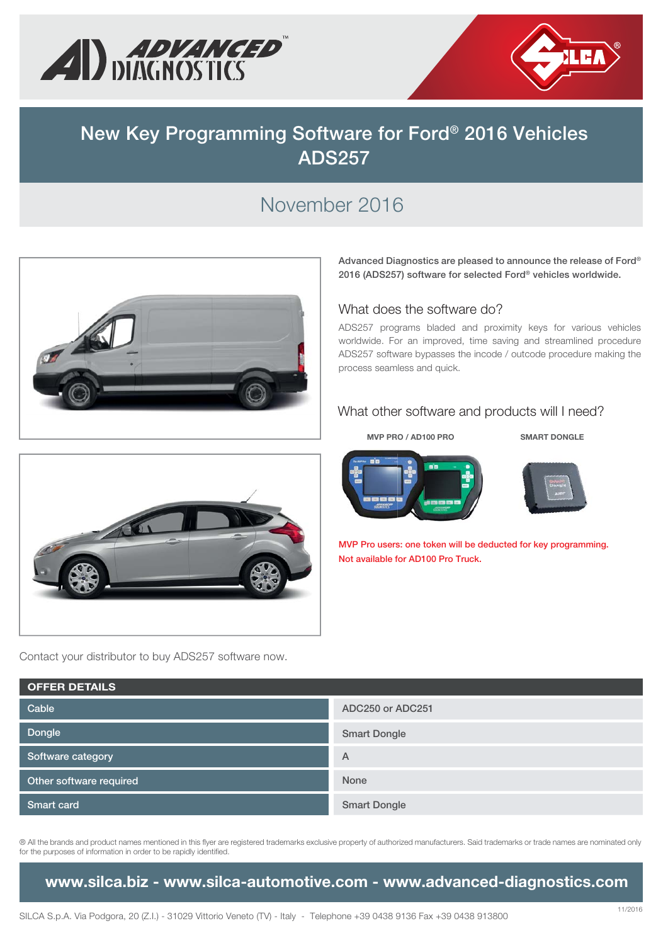



# **New Key Programming Software for Ford® 2016 Vehicles ADS257**

# November 2016



**Advanced Diagnostics are pleased to announce the release of Ford® 2016 (ADS257) software for selected Ford® vehicles worldwide.** 

#### What does the software do?

ADS257 programs bladed and proximity keys for various vehicles worldwide. For an improved, time saving and streamlined procedure ADS257 software bypasses the incode / outcode procedure making the process seamless and quick.

#### What other software and products will I need?

**MVP PRO / AD100 PRO SMART DONGLE**





**MVP Pro users: one token will be deducted for key programming. Not available for AD100 Pro Truck.**



Contact your distributor to buy ADS257 software now.

| <b>OFFER DETAILS</b>    |                     |  |  |  |  |
|-------------------------|---------------------|--|--|--|--|
| Cable                   | ADC250 or ADC251    |  |  |  |  |
| Dongle                  | <b>Smart Dongle</b> |  |  |  |  |
| Software category       | $\overline{A}$      |  |  |  |  |
| Other software required | None                |  |  |  |  |
| Smart card              | <b>Smart Dongle</b> |  |  |  |  |

® All the brands and product names mentioned in this flyer are registered trademarks exclusive property of authorized manufacturers. Said trademarks or trade names are nominated only for the purposes of information in order to be rapidly identified.

**www.silca.biz - www.silca-automotive.com - www.advanced-diagnostics.com**